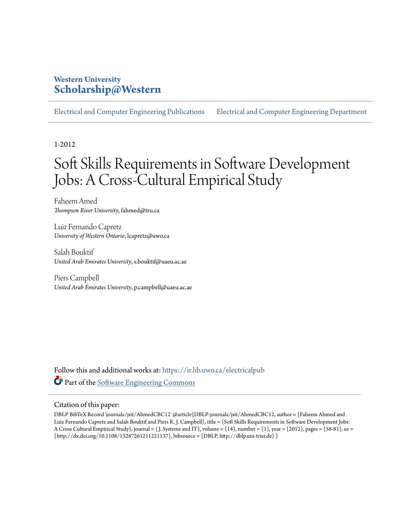# **Western University [Scholarship@Western](https://ir.lib.uwo.ca?utm_source=ir.lib.uwo.ca%2Felectricalpub%2F151&utm_medium=PDF&utm_campaign=PDFCoverPages)**

[Electrical and Computer Engineering Publications](https://ir.lib.uwo.ca/electricalpub?utm_source=ir.lib.uwo.ca%2Felectricalpub%2F151&utm_medium=PDF&utm_campaign=PDFCoverPages) [Electrical and Computer Engineering Department](https://ir.lib.uwo.ca/electrical?utm_source=ir.lib.uwo.ca%2Felectricalpub%2F151&utm_medium=PDF&utm_campaign=PDFCoverPages)

1-2012

# Soft Skills Requirements in Software Development Jobs: A Cross-Cultural Empirical Study

Faheem Amed *Thompson River University*, fahmed@tru.ca

Luiz Fernando Capretz *University of Western Ontario*, lcapretz@uwo.ca

Salah Bouktif *United Arab Emirates University*, s.bouktif@uaeu.ac.ae

Piers Campbell *United Arab Emirates University*, p.campbell@uaeu.ac.ae

Follow this and additional works at: [https://ir.lib.uwo.ca/electricalpub](https://ir.lib.uwo.ca/electricalpub?utm_source=ir.lib.uwo.ca%2Felectricalpub%2F151&utm_medium=PDF&utm_campaign=PDFCoverPages) Part of the [Software Engineering Commons](http://network.bepress.com/hgg/discipline/150?utm_source=ir.lib.uwo.ca%2Felectricalpub%2F151&utm_medium=PDF&utm_campaign=PDFCoverPages)

#### Citation of this paper:

DBLP BibTeX Record 'journals/jsit/AhmedCBC12' @article{DBLP:journals/jsit/AhmedCBC12, author = {Faheem Ahmed and Luiz Fernando Capretz and Salah Bouktif and Piers R. J. Campbell}, title = {Soft Skills Requirements in Software Development Jobs: A Cross Cultural Empirical Study}, journal = { J. Systems and IT}, volume = {14}, number = {1}, year = {2012}, pages = {58-81}, ee =  $\{http://dx.doi.org/10.1108/13287261211221137\}$ , bibsource =  $\{DBLP, http://dblp.uni-trier.de\}$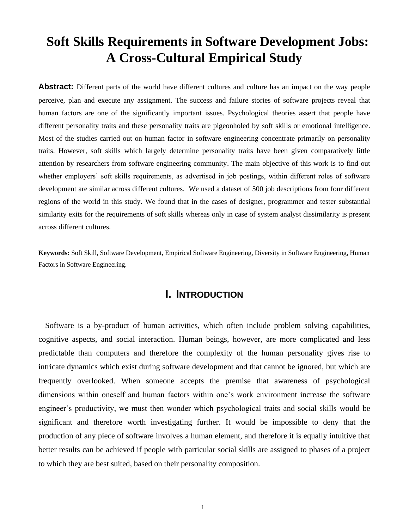# **Soft Skills Requirements in Software Development Jobs: A Cross-Cultural Empirical Study**

**Abstract:** Different parts of the world have different cultures and culture has an impact on the way people perceive, plan and execute any assignment. The success and failure stories of software projects reveal that human factors are one of the significantly important issues. Psychological theories assert that people have different personality traits and these personality traits are pigeonholed by soft skills or emotional intelligence. Most of the studies carried out on human factor in software engineering concentrate primarily on personality traits. However, soft skills which largely determine personality traits have been given comparatively little attention by researchers from software engineering community. The main objective of this work is to find out whether employers' soft skills requirements, as advertised in job postings, within different roles of software development are similar across different cultures. We used a dataset of 500 job descriptions from four different regions of the world in this study. We found that in the cases of designer, programmer and tester substantial similarity exits for the requirements of soft skills whereas only in case of system analyst dissimilarity is present across different cultures.

**Keywords:** Soft Skill, Software Development, Empirical Software Engineering, Diversity in Software Engineering, Human Factors in Software Engineering.

# **I. INTRODUCTION**

Software is a by-product of human activities, which often include problem solving capabilities, cognitive aspects, and social interaction. Human beings, however, are more complicated and less predictable than computers and therefore the complexity of the human personality gives rise to intricate dynamics which exist during software development and that cannot be ignored, but which are frequently overlooked. When someone accepts the premise that awareness of psychological dimensions within oneself and human factors within one's work environment increase the software engineer's productivity, we must then wonder which psychological traits and social skills would be significant and therefore worth investigating further. It would be impossible to deny that the production of any piece of software involves a human element, and therefore it is equally intuitive that better results can be achieved if people with particular social skills are assigned to phases of a project to which they are best suited, based on their personality composition.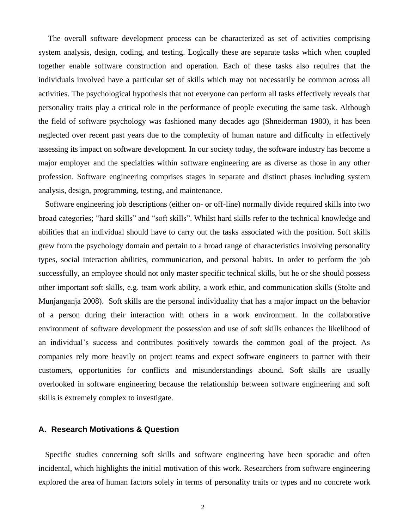The overall software development process can be characterized as set of activities comprising system analysis, design, coding, and testing. Logically these are separate tasks which when coupled together enable software construction and operation. Each of these tasks also requires that the individuals involved have a particular set of skills which may not necessarily be common across all activities. The psychological hypothesis that not everyone can perform all tasks effectively reveals that personality traits play a critical role in the performance of people executing the same task. Although the field of software psychology was fashioned many decades ago (Shneiderman 1980), it has been neglected over recent past years due to the complexity of human nature and difficulty in effectively assessing its impact on software development. In our society today, the software industry has become a major employer and the specialties within software engineering are as diverse as those in any other profession. Software engineering comprises stages in separate and distinct phases including system analysis, design, programming, testing, and maintenance.

Software engineering job descriptions (either on- or off-line) normally divide required skills into two broad categories; "hard skills" and "soft skills". Whilst hard skills refer to the technical knowledge and abilities that an individual should have to carry out the tasks associated with the position. Soft skills grew from the psychology domain and pertain to a broad range of characteristics involving personality types, social interaction abilities, communication, and personal habits. In order to perform the job successfully, an employee should not only master specific technical skills, but he or she should possess other important soft skills, e.g. team work ability, a work ethic, and communication skills (Stolte and Munjanganja 2008). Soft skills are the personal individuality that has a major impact on the behavior of a person during their interaction with others in a work environment. In the collaborative environment of software development the possession and use of soft skills enhances the likelihood of an individual's success and contributes positively towards the common goal of the project. As companies rely more heavily on project teams and expect software engineers to partner with their customers, opportunities for conflicts and misunderstandings abound. Soft skills are usually overlooked in software engineering because the relationship between software engineering and soft skills is extremely complex to investigate.

## **A. Research Motivations & Question**

Specific studies concerning soft skills and software engineering have been sporadic and often incidental, which highlights the initial motivation of this work. Researchers from software engineering explored the area of human factors solely in terms of personality traits or types and no concrete work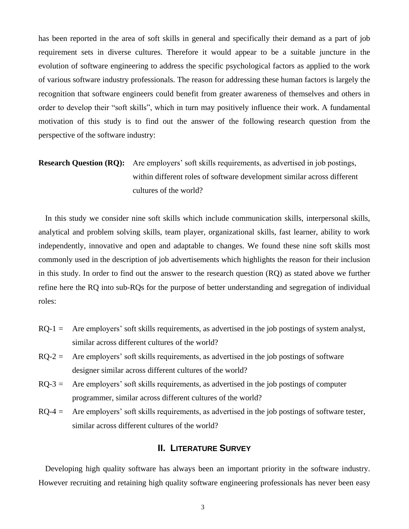has been reported in the area of soft skills in general and specifically their demand as a part of job requirement sets in diverse cultures. Therefore it would appear to be a suitable juncture in the evolution of software engineering to address the specific psychological factors as applied to the work of various software industry professionals. The reason for addressing these human factors is largely the recognition that software engineers could benefit from greater awareness of themselves and others in order to develop their "soft skills", which in turn may positively influence their work. A fundamental motivation of this study is to find out the answer of the following research question from the perspective of the software industry:

# **Research Question (RQ):** Are employers' soft skills requirements, as advertised in job postings, within different roles of software development similar across different cultures of the world?

In this study we consider nine soft skills which include communication skills, interpersonal skills, analytical and problem solving skills, team player, organizational skills, fast learner, ability to work independently, innovative and open and adaptable to changes. We found these nine soft skills most commonly used in the description of job advertisements which highlights the reason for their inclusion in this study. In order to find out the answer to the research question (RQ) as stated above we further refine here the RQ into sub-RQs for the purpose of better understanding and segregation of individual roles:

- $RQ-1 =$  Are employers' soft skills requirements, as advertised in the job postings of system analyst, similar across different cultures of the world?
- $RQ-2 =$  Are employers' soft skills requirements, as advertised in the job postings of software designer similar across different cultures of the world?
- $RQ-3$  = Are employers' soft skills requirements, as advertised in the job postings of computer programmer, similar across different cultures of the world?
- $RQ-4 =$  Are employers' soft skills requirements, as advertised in the job postings of software tester, similar across different cultures of the world?

# **II. LITERATURE SURVEY**

Developing high quality software has always been an important priority in the software industry. However recruiting and retaining high quality software engineering professionals has never been easy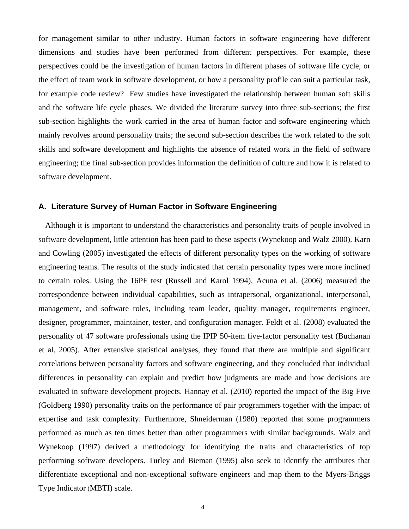for management similar to other industry. Human factors in software engineering have different dimensions and studies have been performed from different perspectives. For example, these perspectives could be the investigation of human factors in different phases of software life cycle, or the effect of team work in software development, or how a personality profile can suit a particular task, for example code review? Few studies have investigated the relationship between human soft skills and the software life cycle phases. We divided the literature survey into three sub-sections; the first sub-section highlights the work carried in the area of human factor and software engineering which mainly revolves around personality traits; the second sub-section describes the work related to the soft skills and software development and highlights the absence of related work in the field of software engineering; the final sub-section provides information the definition of culture and how it is related to software development.

#### **A. Literature Survey of Human Factor in Software Engineering**

Although it is important to understand the characteristics and personality traits of people involved in software development, little attention has been paid to these aspects (Wynekoop and Walz 2000). Karn and Cowling (2005) investigated the effects of different personality types on the working of software engineering teams. The results of the study indicated that certain personality types were more inclined to certain roles. Using the 16PF test (Russell and Karol 1994), Acuna et al. (2006) measured the correspondence between individual capabilities, such as intrapersonal, organizational, interpersonal, management, and software roles, including team leader, quality manager, requirements engineer, designer, programmer, maintainer, tester, and configuration manager. Feldt et al. (2008) evaluated the personality of 47 software professionals using the IPIP 50-item five-factor personality test (Buchanan et al. 2005). After extensive statistical analyses, they found that there are multiple and significant correlations between personality factors and software engineering, and they concluded that individual differences in personality can explain and predict how judgments are made and how decisions are evaluated in software development projects. Hannay et al*.* (2010) reported the impact of the Big Five (Goldberg 1990) personality traits on the performance of pair programmers together with the impact of expertise and task complexity. Furthermore, Shneiderman (1980) reported that some programmers performed as much as ten times better than other programmers with similar backgrounds. Walz and Wynekoop (1997) derived a methodology for identifying the traits and characteristics of top performing software developers. Turley and Bieman (1995) also seek to identify the attributes that differentiate exceptional and non-exceptional software engineers and map them to the Myers-Briggs Type Indicator (MBTI) scale.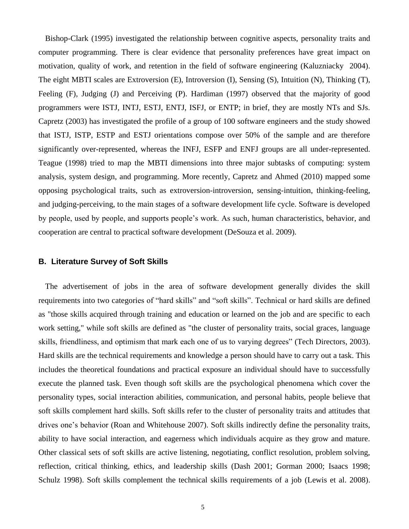Bishop-Clark (1995) investigated the relationship between cognitive aspects, personality traits and computer programming. There is clear evidence that personality preferences have great impact on motivation, quality of work, and retention in the field of software engineering (Kaluzniacky 2004). The eight MBTI scales are Extroversion (E), Introversion (I), Sensing (S), Intuition (N), Thinking (T), Feeling (F), Judging (J) and Perceiving (P). Hardiman (1997) observed that the majority of good programmers were ISTJ, INTJ, ESTJ, ENTJ, ISFJ, or ENTP; in brief, they are mostly NTs and SJs. Capretz (2003) has investigated the profile of a group of 100 software engineers and the study showed that ISTJ, ISTP, ESTP and ESTJ orientations compose over 50% of the sample and are therefore significantly over-represented, whereas the INFJ, ESFP and ENFJ groups are all under-represented. Teague (1998) tried to map the MBTI dimensions into three major subtasks of computing: system analysis, system design, and programming. More recently, Capretz and Ahmed (2010) mapped some opposing psychological traits, such as extroversion-introversion, sensing-intuition, thinking-feeling, and judging-perceiving, to the main stages of a software development life cycle. Software is developed by people, used by people, and supports people's work. As such, human characteristics, behavior, and cooperation are central to practical software development (DeSouza et al. 2009).

# **B. Literature Survey of Soft Skills**

The advertisement of jobs in the area of software development generally divides the skill requirements into two categories of "hard skills" and "soft skills". Technical or hard skills are defined as "those skills acquired through training and education or learned on the job and are specific to each work setting," while soft skills are defined as "the cluster of personality traits, social graces, language skills, friendliness, and optimism that mark each one of us to varying degrees" (Tech Directors, 2003). Hard skills are the technical requirements and knowledge a person should have to carry out a task. This includes the theoretical foundations and practical exposure an individual should have to successfully execute the planned task. Even though soft skills are the psychological phenomena which cover the personality types, social interaction abilities, communication, and personal habits, people believe that soft skills complement hard skills. Soft skills refer to the cluster of personality traits and attitudes that drives one's behavior (Roan and Whitehouse 2007). Soft skills indirectly define the personality traits, ability to have social interaction, and eagerness which individuals acquire as they grow and mature. Other classical sets of soft skills are active listening, negotiating, conflict resolution, problem solving, reflection, critical thinking, ethics, and leadership skills (Dash 2001; Gorman 2000; Isaacs 1998; Schulz 1998). Soft skills complement the technical skills requirements of a job (Lewis et al. 2008).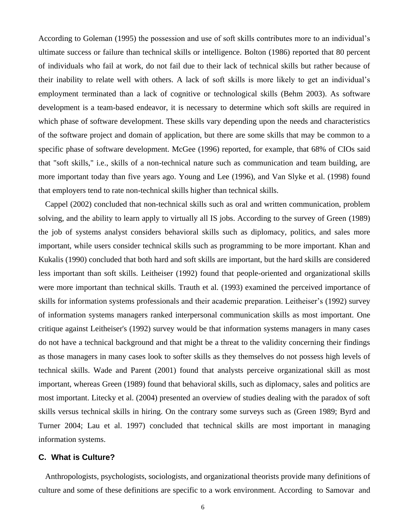According to Goleman (1995) the possession and use of soft skills contributes more to an individual's ultimate success or failure than technical skills or intelligence. Bolton (1986) reported that 80 percent of individuals who fail at work, do not fail due to their lack of technical skills but rather because of their inability to relate well with others. A lack of soft skills is more likely to get an individual's employment terminated than a lack of cognitive or technological skills (Behm 2003). As software development is a team-based endeavor, it is necessary to determine which soft skills are required in which phase of software development. These skills vary depending upon the needs and characteristics of the software project and domain of application, but there are some skills that may be common to a specific phase of software development. McGee (1996) reported, for example, that 68% of CIOs said that "soft skills," i.e., skills of a non-technical nature such as communication and team building, are more important today than five years ago. Young and Lee (1996), and Van Slyke et al. (1998) found that employers tend to rate non-technical skills higher than technical skills.

Cappel (2002) concluded that non-technical skills such as oral and written communication, problem solving, and the ability to learn apply to virtually all IS jobs. According to the survey of Green (1989) the job of systems analyst considers behavioral skills such as diplomacy, politics, and sales more important, while users consider technical skills such as programming to be more important. Khan and Kukalis (1990) concluded that both hard and soft skills are important, but the hard skills are considered less important than soft skills. Leitheiser (1992) found that people-oriented and organizational skills were more important than technical skills. Trauth et al*.* (1993) examined the perceived importance of skills for information systems professionals and their academic preparation. Leitheiser's (1992) survey of information systems managers ranked interpersonal communication skills as most important. One critique against Leitheiser's (1992) survey would be that information systems managers in many cases do not have a technical background and that might be a threat to the validity concerning their findings as those managers in many cases look to softer skills as they themselves do not possess high levels of technical skills. Wade and Parent (2001) found that analysts perceive organizational skill as most important, whereas Green (1989) found that behavioral skills, such as diplomacy, sales and politics are most important. Litecky et al. (2004) presented an overview of studies dealing with the paradox of soft skills versus technical skills in hiring. On the contrary some surveys such as (Green 1989; Byrd and Turner 2004; Lau et al. 1997) concluded that technical skills are most important in managing information systems.

### **C. What is Culture?**

Anthropologists, psychologists, sociologists, and organizational theorists provide many definitions of culture and some of these definitions are specific to a work environment. According to Samovar and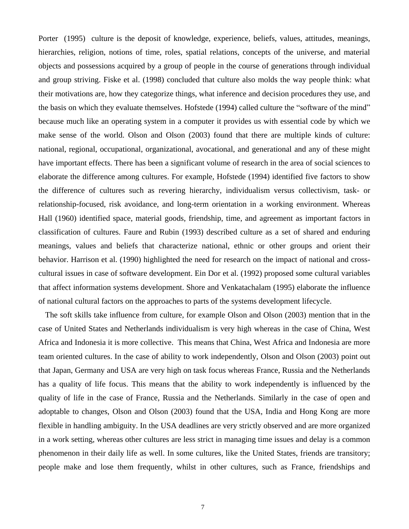Porter (1995) culture is the deposit of knowledge, experience, beliefs, values, attitudes, meanings, hierarchies, religion, notions of time, roles, spatial relations, concepts of the universe, and material objects and possessions acquired by a group of people in the course of generations through individual and group striving. Fiske et al. (1998) concluded that culture also molds the way people think: what their motivations are, how they categorize things, what inference and decision procedures they use, and the basis on which they evaluate themselves. Hofstede (1994) called culture the "software of the mind" because much like an operating system in a computer it provides us with essential code by which we make sense of the world. Olson and Olson (2003) found that there are multiple kinds of culture: national, regional, occupational, organizational, avocational, and generational and any of these might have important effects. There has been a significant volume of research in the area of social sciences to elaborate the difference among cultures. For example, Hofstede (1994) identified five factors to show the difference of cultures such as revering hierarchy, individualism versus collectivism, task- or relationship-focused, risk avoidance, and long-term orientation in a working environment. Whereas Hall (1960) identified space, material goods, friendship, time, and agreement as important factors in classification of cultures. Faure and Rubin (1993) described culture as a set of shared and enduring meanings, values and beliefs that characterize national, ethnic or other groups and orient their behavior. Harrison et al. (1990) highlighted the need for research on the impact of national and crosscultural issues in case of software development. Ein Dor et al. (1992) proposed some cultural variables that affect information systems development. Shore and Venkatachalam (1995) elaborate the influence of national cultural factors on the approaches to parts of the systems development lifecycle.

The soft skills take influence from culture, for example Olson and Olson (2003) mention that in the case of United States and Netherlands individualism is very high whereas in the case of China, West Africa and Indonesia it is more collective. This means that China, West Africa and Indonesia are more team oriented cultures. In the case of ability to work independently, Olson and Olson (2003) point out that Japan, Germany and USA are very high on task focus whereas France, Russia and the Netherlands has a quality of life focus. This means that the ability to work independently is influenced by the quality of life in the case of France, Russia and the Netherlands. Similarly in the case of open and adoptable to changes, Olson and Olson (2003) found that the USA, India and Hong Kong are more flexible in handling ambiguity. In the USA deadlines are very strictly observed and are more organized in a work setting, whereas other cultures are less strict in managing time issues and delay is a common phenomenon in their daily life as well. In some cultures, like the United States, friends are transitory; people make and lose them frequently, whilst in other cultures, such as France, friendships and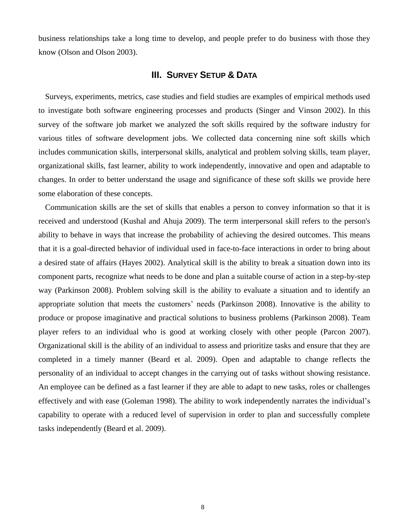business relationships take a long time to develop, and people prefer to do business with those they know (Olson and Olson 2003).

# **III. SURVEY SETUP & DATA**

Surveys, experiments, metrics, case studies and field studies are examples of empirical methods used to investigate both software engineering processes and products (Singer and Vinson 2002). In this survey of the software job market we analyzed the soft skills required by the software industry for various titles of software development jobs. We collected data concerning nine soft skills which includes communication skills, interpersonal skills, analytical and problem solving skills, team player, organizational skills, fast learner, ability to work independently, innovative and open and adaptable to changes. In order to better understand the usage and significance of these soft skills we provide here some elaboration of these concepts.

Communication skills are the set of skills that enables a person to convey information so that it is received and understood (Kushal and Ahuja 2009). The term interpersonal skill refers to the person's ability to behave in ways that increase the probability of achieving the desired outcomes. This means that it is a goal-directed behavior of individual used in face-to-face interactions in order to bring about a desired state of affairs (Hayes 2002). Analytical skill is the ability to break a situation down into its component parts, recognize what needs to be done and plan a suitable course of action in a step-by-step way (Parkinson 2008). Problem solving skill is the ability to evaluate a situation and to identify an appropriate solution that meets the customers' needs (Parkinson 2008). Innovative is the ability to produce or propose imaginative and practical solutions to business problems (Parkinson 2008). Team player refers to an individual who is good at working closely with other people (Parcon 2007). Organizational skill is the ability of an individual to assess and prioritize tasks and ensure that they are completed in a timely manner (Beard et al. 2009). Open and adaptable to change reflects the personality of an individual to accept changes in the carrying out of tasks without showing resistance. An employee can be defined as a fast learner if they are able to adapt to new tasks, roles or challenges effectively and with ease (Goleman 1998). The ability to work independently narrates the individual's capability to operate with a reduced level of supervision in order to plan and successfully complete tasks independently (Beard et al. 2009).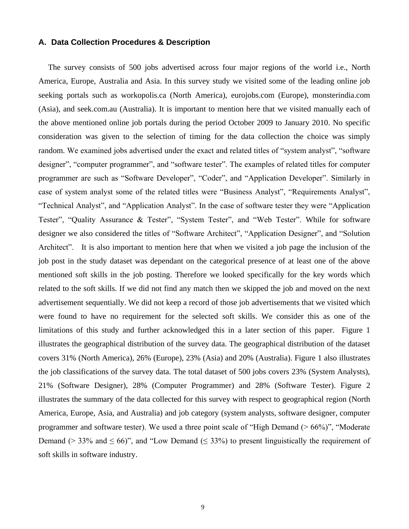#### **A. Data Collection Procedures & Description**

The survey consists of 500 jobs advertised across four major regions of the world i.e., North America, Europe, Australia and Asia. In this survey study we visited some of the leading online job seeking portals such as workopolis.ca (North America), eurojobs.com (Europe), monsterindia.com (Asia), and seek.com.au (Australia). It is important to mention here that we visited manually each of the above mentioned online job portals during the period October 2009 to January 2010. No specific consideration was given to the selection of timing for the data collection the choice was simply random. We examined jobs advertised under the exact and related titles of "system analyst", "software designer", "computer programmer", and "software tester". The examples of related titles for computer programmer are such as "Software Developer", "Coder", and "Application Developer". Similarly in case of system analyst some of the related titles were "Business Analyst", "Requirements Analyst", "Technical Analyst", and "Application Analyst". In the case of software tester they were "Application Tester", "Quality Assurance & Tester", "System Tester", and "Web Tester". While for software designer we also considered the titles of "Software Architect", "Application Designer", and "Solution Architect". It is also important to mention here that when we visited a job page the inclusion of the job post in the study dataset was dependant on the categorical presence of at least one of the above mentioned soft skills in the job posting. Therefore we looked specifically for the key words which related to the soft skills. If we did not find any match then we skipped the job and moved on the next advertisement sequentially. We did not keep a record of those job advertisements that we visited which were found to have no requirement for the selected soft skills. We consider this as one of the limitations of this study and further acknowledged this in a later section of this paper. Figure 1 illustrates the geographical distribution of the survey data. The geographical distribution of the dataset covers 31% (North America), 26% (Europe), 23% (Asia) and 20% (Australia). Figure 1 also illustrates the job classifications of the survey data. The total dataset of 500 jobs covers 23% (System Analysts), 21% (Software Designer), 28% (Computer Programmer) and 28% (Software Tester). Figure 2 illustrates the summary of the data collected for this survey with respect to geographical region (North America, Europe, Asia, and Australia) and job category (system analysts, software designer, computer programmer and software tester). We used a three point scale of "High Demand (> 66%)", "Moderate Demand ( $> 33\%$  and  $\leq 66$ )", and "Low Demand ( $\leq 33\%$ ) to present linguistically the requirement of soft skills in software industry.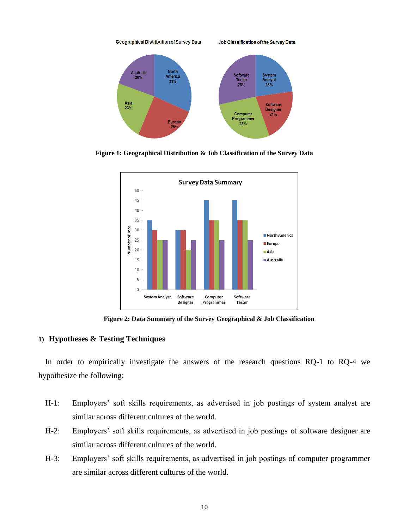

**Figure 1: Geographical Distribution & Job Classification of the Survey Data**



**Figure 2: Data Summary of the Survey Geographical & Job Classification**

## **1) Hypotheses & Testing Techniques**

In order to empirically investigate the answers of the research questions RQ-1 to RQ-4 we hypothesize the following:

- H-1: Employers' soft skills requirements, as advertised in job postings of system analyst are similar across different cultures of the world.
- H-2: Employers' soft skills requirements, as advertised in job postings of software designer are similar across different cultures of the world.
- H-3: Employers' soft skills requirements, as advertised in job postings of computer programmer are similar across different cultures of the world.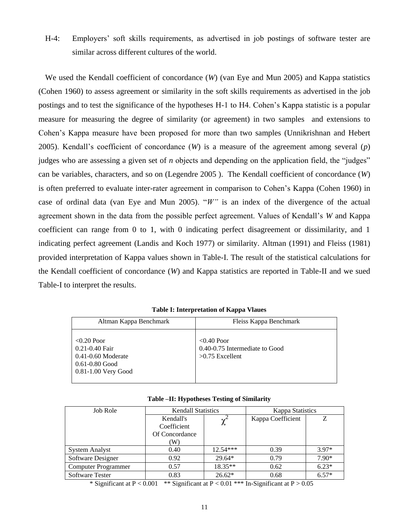H-4: Employers' soft skills requirements, as advertised in job postings of software tester are similar across different cultures of the world.

We used the Kendall coefficient of concordance (*W*) (van Eye and Mun 2005) and Kappa statistics (Cohen 1960) to assess agreement or similarity in the soft skills requirements as advertised in the job postings and to test the significance of the hypotheses H-1 to H4. Cohen's Kappa statistic is a popular measure for measuring the degree of similarity (or agreement) in two samples and extensions to Cohen's Kappa measure have been proposed for more than two samples (Unnikrishnan and Hebert 2005). Kendall's coefficient of concordance (*W*) is a measure of the agreement among several (*p*) judges who are assessing a given set of *n* objects and depending on the application field, the "judges" can be variables, characters, and so on (Legendre 2005 ). The Kendall coefficient of concordance (*W*) is often preferred to evaluate inter-rater agreement in comparison to Cohen's Kappa (Cohen 1960) in case of ordinal data (van Eye and Mun 2005). "*W"* is an index of the divergence of the actual agreement shown in the data from the possible perfect agreement. Values of Kendall's *W* and Kappa coefficient can range from 0 to 1, with 0 indicating perfect disagreement or dissimilarity, and 1 indicating perfect agreement (Landis and Koch 1977) or similarity. Altman (1991) and Fleiss (1981) provided interpretation of Kappa values shown in Table-I. The result of the statistical calculations for the Kendall coefficient of concordance (*W*) and Kappa statistics are reported in Table-II and we sued Table-I to interpret the results.

| Altman Kappa Benchmark                                                                                     | Fleiss Kappa Benchmark                                               |  |
|------------------------------------------------------------------------------------------------------------|----------------------------------------------------------------------|--|
| $<$ 0.20 Poor<br>0.21-0.40 Fair<br>$0.41 - 0.60$ Moderate<br>$0.61 - 0.80$ Good<br>$0.81 - 1.00$ Very Good | $<$ 0.40 Poor<br>0.40-0.75 Intermediate to Good<br>$>0.75$ Excellent |  |

**Table I: Interpretation of Kappa Vlaues**

|  |  |  | Table –II: Hypotheses Testing of Similarity |
|--|--|--|---------------------------------------------|
|--|--|--|---------------------------------------------|

| Job Role                   | <b>Kendall Statistics</b> |            | <b>Kappa Statistics</b> |         |
|----------------------------|---------------------------|------------|-------------------------|---------|
|                            | Kendall's                 |            | Kappa Coefficient       |         |
|                            | Coefficient               |            |                         |         |
|                            | Of Concordance            |            |                         |         |
|                            | W)                        |            |                         |         |
| <b>System Analyst</b>      | 0.40                      | $12.54***$ | 0.39                    | $3.97*$ |
| Software Designer          | 0.92                      | $29.64*$   | 0.79                    | $7.90*$ |
| <b>Computer Programmer</b> | 0.57                      | 18.35**    | 0.62                    | $6.23*$ |
| <b>Software Tester</b>     | 0.83                      | $26.62*$   | 0.68                    | $6.57*$ |

\* Significant at P < 0.001 \*\* Significant at P < 0.01 \*\*\* In-Significant at P > 0.05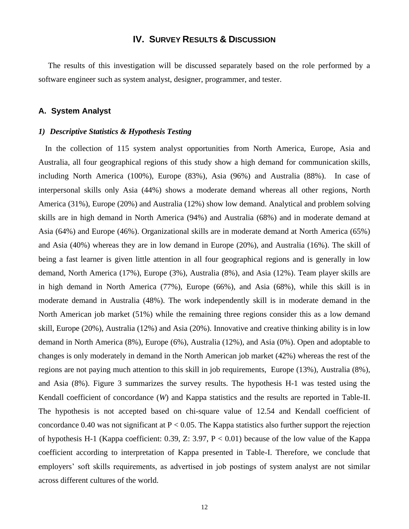# **IV. SURVEY RESULTS & DISCUSSION**

The results of this investigation will be discussed separately based on the role performed by a software engineer such as system analyst, designer, programmer, and tester.

#### **A. System Analyst**

#### *1) Descriptive Statistics & Hypothesis Testing*

In the collection of 115 system analyst opportunities from North America, Europe, Asia and Australia, all four geographical regions of this study show a high demand for communication skills, including North America (100%), Europe (83%), Asia (96%) and Australia (88%). In case of interpersonal skills only Asia (44%) shows a moderate demand whereas all other regions, North America (31%), Europe (20%) and Australia (12%) show low demand. Analytical and problem solving skills are in high demand in North America (94%) and Australia (68%) and in moderate demand at Asia (64%) and Europe (46%). Organizational skills are in moderate demand at North America (65%) and Asia (40%) whereas they are in low demand in Europe (20%), and Australia (16%). The skill of being a fast learner is given little attention in all four geographical regions and is generally in low demand, North America (17%), Europe (3%), Australia (8%), and Asia (12%). Team player skills are in high demand in North America (77%), Europe (66%), and Asia (68%), while this skill is in moderate demand in Australia (48%). The work independently skill is in moderate demand in the North American job market (51%) while the remaining three regions consider this as a low demand skill, Europe (20%), Australia (12%) and Asia (20%). Innovative and creative thinking ability is in low demand in North America (8%), Europe (6%), Australia (12%), and Asia (0%). Open and adoptable to changes is only moderately in demand in the North American job market (42%) whereas the rest of the regions are not paying much attention to this skill in job requirements, Europe (13%), Australia (8%), and Asia (8%). Figure 3 summarizes the survey results. The hypothesis H-1 was tested using the Kendall coefficient of concordance (*W*) and Kappa statistics and the results are reported in Table-II. The hypothesis is not accepted based on chi-square value of 12.54 and Kendall coefficient of concordance 0.40 was not significant at  $P < 0.05$ . The Kappa statistics also further support the rejection of hypothesis H-1 (Kappa coefficient: 0.39, Z: 3.97,  $P < 0.01$ ) because of the low value of the Kappa coefficient according to interpretation of Kappa presented in Table-I. Therefore, we conclude that employers' soft skills requirements, as advertised in job postings of system analyst are not similar across different cultures of the world.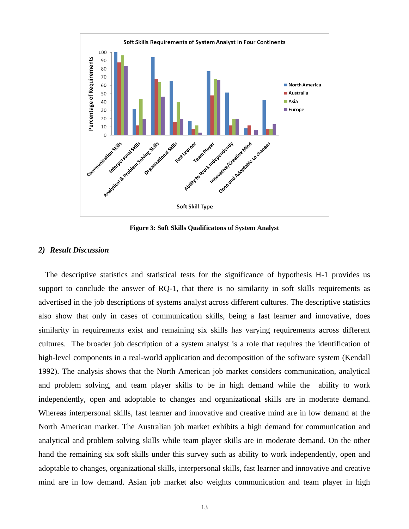

**Figure 3: Soft Skills Qualificatons of System Analyst**

#### *2) Result Discussion*

The descriptive statistics and statistical tests for the significance of hypothesis H-1 provides us support to conclude the answer of RQ-1, that there is no similarity in soft skills requirements as advertised in the job descriptions of systems analyst across different cultures. The descriptive statistics also show that only in cases of communication skills, being a fast learner and innovative, does similarity in requirements exist and remaining six skills has varying requirements across different cultures. The broader job description of a system analyst is a role that requires the identification of high-level components in a real-world application and decomposition of the software system (Kendall 1992). The analysis shows that the North American job market considers communication, analytical and problem solving, and team player skills to be in high demand while the ability to work independently, open and adoptable to changes and organizational skills are in moderate demand. Whereas interpersonal skills, fast learner and innovative and creative mind are in low demand at the North American market. The Australian job market exhibits a high demand for communication and analytical and problem solving skills while team player skills are in moderate demand. On the other hand the remaining six soft skills under this survey such as ability to work independently, open and adoptable to changes, organizational skills, interpersonal skills, fast learner and innovative and creative mind are in low demand. Asian job market also weights communication and team player in high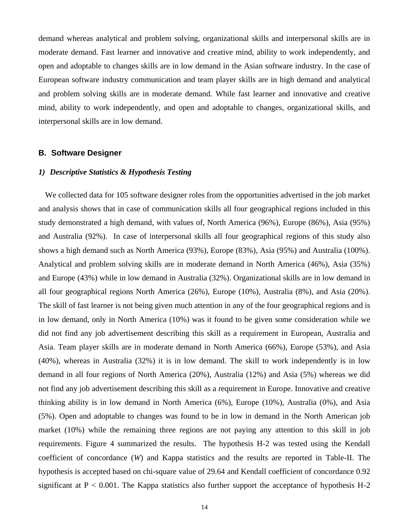demand whereas analytical and problem solving, organizational skills and interpersonal skills are in moderate demand. Fast learner and innovative and creative mind, ability to work independently, and open and adoptable to changes skills are in low demand in the Asian software industry. In the case of European software industry communication and team player skills are in high demand and analytical and problem solving skills are in moderate demand. While fast learner and innovative and creative mind, ability to work independently, and open and adoptable to changes, organizational skills, and interpersonal skills are in low demand.

#### **B. Software Designer**

## *1) Descriptive Statistics & Hypothesis Testing*

We collected data for 105 software designer roles from the opportunities advertised in the job market and analysis shows that in case of communication skills all four geographical regions included in this study demonstrated a high demand, with values of, North America (96%), Europe (86%), Asia (95%) and Australia (92%). In case of interpersonal skills all four geographical regions of this study also shows a high demand such as North America (93%), Europe (83%), Asia (95%) and Australia (100%). Analytical and problem solving skills are in moderate demand in North America (46%), Asia (35%) and Europe (43%) while in low demand in Australia (32%). Organizational skills are in low demand in all four geographical regions North America (26%), Europe (10%), Australia (8%), and Asia (20%). The skill of fast learner is not being given much attention in any of the four geographical regions and is in low demand, only in North America (10%) was it found to be given some consideration while we did not find any job advertisement describing this skill as a requirement in European, Australia and Asia. Team player skills are in moderate demand in North America (66%), Europe (53%), and Asia (40%), whereas in Australia (32%) it is in low demand. The skill to work independently is in low demand in all four regions of North America (20%), Australia (12%) and Asia (5%) whereas we did not find any job advertisement describing this skill as a requirement in Europe. Innovative and creative thinking ability is in low demand in North America (6%), Europe (10%), Australia (0%), and Asia (5%). Open and adoptable to changes was found to be in low in demand in the North American job market (10%) while the remaining three regions are not paying any attention to this skill in job requirements. Figure 4 summarized the results. The hypothesis H-2 was tested using the Kendall coefficient of concordance (*W*) and Kappa statistics and the results are reported in Table-II. The hypothesis is accepted based on chi-square value of 29.64 and Kendall coefficient of concordance 0.92 significant at  $P < 0.001$ . The Kappa statistics also further support the acceptance of hypothesis H-2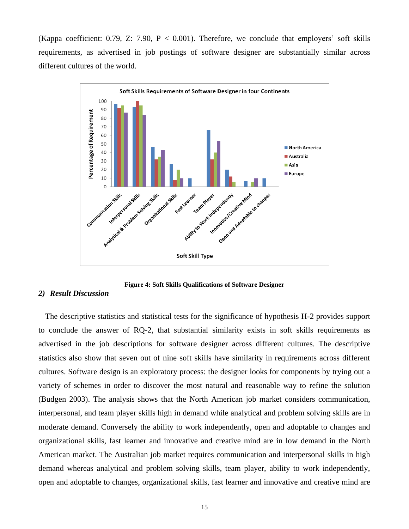(Kappa coefficient: 0.79, Z: 7.90,  $P < 0.001$ ). Therefore, we conclude that employers' soft skills requirements, as advertised in job postings of software designer are substantially similar across different cultures of the world.



**Figure 4: Soft Skills Qualifications of Software Designer**

#### *2) Result Discussion*

The descriptive statistics and statistical tests for the significance of hypothesis H-2 provides support to conclude the answer of RQ-2, that substantial similarity exists in soft skills requirements as advertised in the job descriptions for software designer across different cultures. The descriptive statistics also show that seven out of nine soft skills have similarity in requirements across different cultures. Software design is an exploratory process: the designer looks for components by trying out a variety of schemes in order to discover the most natural and reasonable way to refine the solution (Budgen 2003). The analysis shows that the North American job market considers communication, interpersonal, and team player skills high in demand while analytical and problem solving skills are in moderate demand. Conversely the ability to work independently, open and adoptable to changes and organizational skills, fast learner and innovative and creative mind are in low demand in the North American market. The Australian job market requires communication and interpersonal skills in high demand whereas analytical and problem solving skills, team player, ability to work independently, open and adoptable to changes, organizational skills, fast learner and innovative and creative mind are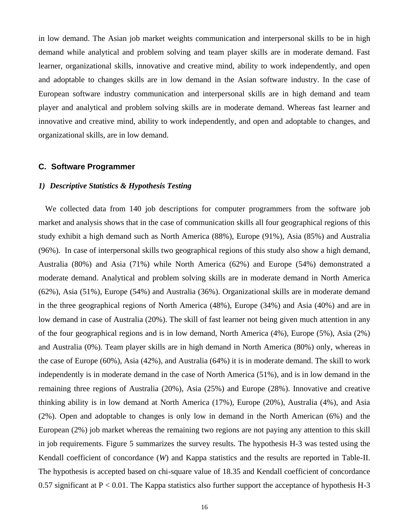in low demand. The Asian job market weights communication and interpersonal skills to be in high demand while analytical and problem solving and team player skills are in moderate demand. Fast learner, organizational skills, innovative and creative mind, ability to work independently, and open and adoptable to changes skills are in low demand in the Asian software industry. In the case of European software industry communication and interpersonal skills are in high demand and team player and analytical and problem solving skills are in moderate demand. Whereas fast learner and innovative and creative mind, ability to work independently, and open and adoptable to changes, and organizational skills, are in low demand.

#### **C. Software Programmer**

#### *1) Descriptive Statistics & Hypothesis Testing*

We collected data from 140 job descriptions for computer programmers from the software job market and analysis shows that in the case of communication skills all four geographical regions of this study exhibit a high demand such as North America (88%), Europe (91%), Asia (85%) and Australia (96%). In case of interpersonal skills two geographical regions of this study also show a high demand, Australia (80%) and Asia (71%) while North America (62%) and Europe (54%) demonstrated a moderate demand. Analytical and problem solving skills are in moderate demand in North America (62%), Asia (51%), Europe (54%) and Australia (36%). Organizational skills are in moderate demand in the three geographical regions of North America (48%), Europe (34%) and Asia (40%) and are in low demand in case of Australia (20%). The skill of fast learner not being given much attention in any of the four geographical regions and is in low demand, North America (4%), Europe (5%), Asia (2%) and Australia (0%). Team player skills are in high demand in North America (80%) only, whereas in the case of Europe (60%), Asia (42%), and Australia (64%) it is in moderate demand. The skill to work independently is in moderate demand in the case of North America (51%), and is in low demand in the remaining three regions of Australia (20%), Asia (25%) and Europe (28%). Innovative and creative thinking ability is in low demand at North America (17%), Europe (20%), Australia (4%), and Asia (2%). Open and adoptable to changes is only low in demand in the North American (6%) and the European (2%) job market whereas the remaining two regions are not paying any attention to this skill in job requirements. Figure 5 summarizes the survey results. The hypothesis H-3 was tested using the Kendall coefficient of concordance (*W*) and Kappa statistics and the results are reported in Table-II. The hypothesis is accepted based on chi-square value of 18.35 and Kendall coefficient of concordance 0.57 significant at  $P < 0.01$ . The Kappa statistics also further support the acceptance of hypothesis H-3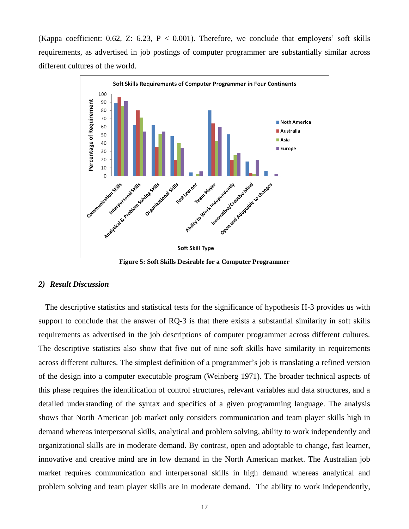(Kappa coefficient: 0.62, Z: 6.23,  $P < 0.001$ ). Therefore, we conclude that employers' soft skills requirements, as advertised in job postings of computer programmer are substantially similar across different cultures of the world.



**Figure 5: Soft Skills Desirable for a Computer Programmer**

#### *2) Result Discussion*

The descriptive statistics and statistical tests for the significance of hypothesis H-3 provides us with support to conclude that the answer of RQ-3 is that there exists a substantial similarity in soft skills requirements as advertised in the job descriptions of computer programmer across different cultures. The descriptive statistics also show that five out of nine soft skills have similarity in requirements across different cultures. The simplest definition of a programmer's job is translating a refined version of the design into a computer executable program (Weinberg 1971). The broader technical aspects of this phase requires the identification of control structures, relevant variables and data structures, and a detailed understanding of the syntax and specifics of a given programming language. The analysis shows that North American job market only considers communication and team player skills high in demand whereas interpersonal skills, analytical and problem solving, ability to work independently and organizational skills are in moderate demand. By contrast, open and adoptable to change, fast learner, innovative and creative mind are in low demand in the North American market. The Australian job market requires communication and interpersonal skills in high demand whereas analytical and problem solving and team player skills are in moderate demand. The ability to work independently,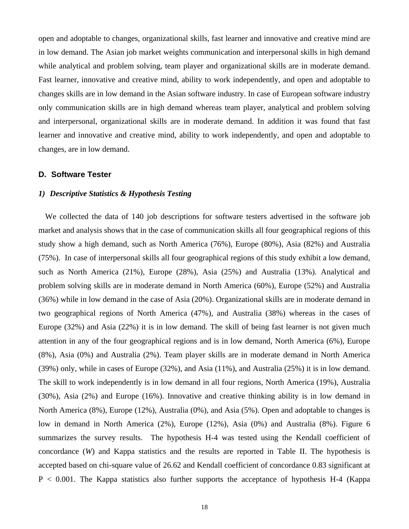open and adoptable to changes, organizational skills, fast learner and innovative and creative mind are in low demand. The Asian job market weights communication and interpersonal skills in high demand while analytical and problem solving, team player and organizational skills are in moderate demand. Fast learner, innovative and creative mind, ability to work independently, and open and adoptable to changes skills are in low demand in the Asian software industry. In case of European software industry only communication skills are in high demand whereas team player, analytical and problem solving and interpersonal, organizational skills are in moderate demand. In addition it was found that fast learner and innovative and creative mind, ability to work independently, and open and adoptable to changes, are in low demand.

#### **D. Software Tester**

#### *1) Descriptive Statistics & Hypothesis Testing*

We collected the data of 140 job descriptions for software testers advertised in the software job market and analysis shows that in the case of communication skills all four geographical regions of this study show a high demand, such as North America (76%), Europe (80%), Asia (82%) and Australia (75%). In case of interpersonal skills all four geographical regions of this study exhibit a low demand, such as North America (21%), Europe (28%), Asia (25%) and Australia (13%). Analytical and problem solving skills are in moderate demand in North America (60%), Europe (52%) and Australia (36%) while in low demand in the case of Asia (20%). Organizational skills are in moderate demand in two geographical regions of North America (47%), and Australia (38%) whereas in the cases of Europe (32%) and Asia (22%) it is in low demand. The skill of being fast learner is not given much attention in any of the four geographical regions and is in low demand, North America (6%), Europe (8%), Asia (0%) and Australia (2%). Team player skills are in moderate demand in North America (39%) only, while in cases of Europe (32%), and Asia (11%), and Australia (25%) it is in low demand. The skill to work independently is in low demand in all four regions, North America (19%), Australia (30%), Asia (2%) and Europe (16%). Innovative and creative thinking ability is in low demand in North America (8%), Europe (12%), Australia (0%), and Asia (5%). Open and adoptable to changes is low in demand in North America (2%), Europe (12%), Asia (0%) and Australia (8%). Figure 6 summarizes the survey results. The hypothesis H-4 was tested using the Kendall coefficient of concordance (*W*) and Kappa statistics and the results are reported in Table II. The hypothesis is accepted based on chi-square value of 26.62 and Kendall coefficient of concordance 0.83 significant at  $P < 0.001$ . The Kappa statistics also further supports the acceptance of hypothesis H-4 (Kappa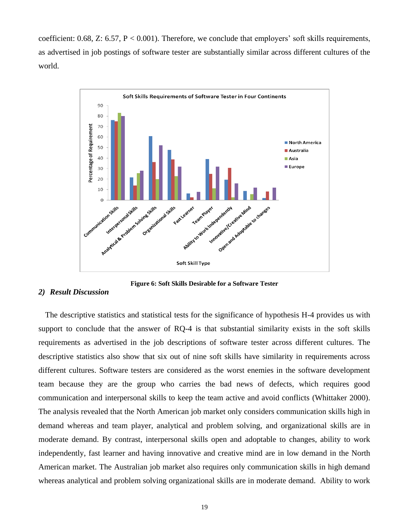coefficient:  $0.68$ , Z:  $6.57$ , P <  $0.001$ ). Therefore, we conclude that employers' soft skills requirements, as advertised in job postings of software tester are substantially similar across different cultures of the world.



**Figure 6: Soft Skills Desirable for a Software Tester**

#### *2) Result Discussion*

The descriptive statistics and statistical tests for the significance of hypothesis H-4 provides us with support to conclude that the answer of RQ-4 is that substantial similarity exists in the soft skills requirements as advertised in the job descriptions of software tester across different cultures. The descriptive statistics also show that six out of nine soft skills have similarity in requirements across different cultures. Software testers are considered as the worst enemies in the software development team because they are the group who carries the bad news of defects, which requires good communication and interpersonal skills to keep the team active and avoid conflicts (Whittaker 2000). The analysis revealed that the North American job market only considers communication skills high in demand whereas and team player, analytical and problem solving, and organizational skills are in moderate demand. By contrast, interpersonal skills open and adoptable to changes, ability to work independently, fast learner and having innovative and creative mind are in low demand in the North American market. The Australian job market also requires only communication skills in high demand whereas analytical and problem solving organizational skills are in moderate demand. Ability to work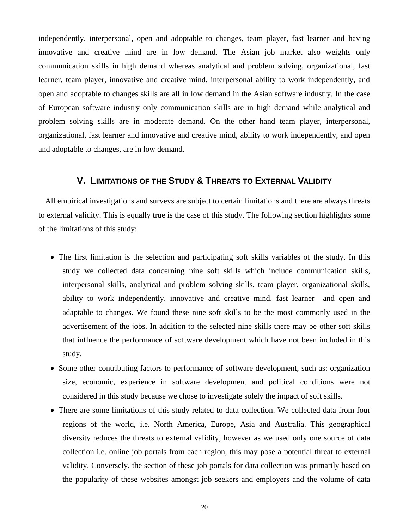independently, interpersonal, open and adoptable to changes, team player, fast learner and having innovative and creative mind are in low demand. The Asian job market also weights only communication skills in high demand whereas analytical and problem solving, organizational, fast learner, team player, innovative and creative mind, interpersonal ability to work independently, and open and adoptable to changes skills are all in low demand in the Asian software industry. In the case of European software industry only communication skills are in high demand while analytical and problem solving skills are in moderate demand. On the other hand team player, interpersonal, organizational, fast learner and innovative and creative mind, ability to work independently, and open and adoptable to changes, are in low demand.

# **V. LIMITATIONS OF THE STUDY & THREATS TO EXTERNAL VALIDITY**

All empirical investigations and surveys are subject to certain limitations and there are always threats to external validity. This is equally true is the case of this study. The following section highlights some of the limitations of this study:

- The first limitation is the selection and participating soft skills variables of the study. In this study we collected data concerning nine soft skills which include communication skills, interpersonal skills, analytical and problem solving skills, team player, organizational skills, ability to work independently, innovative and creative mind, fast learner and open and adaptable to changes. We found these nine soft skills to be the most commonly used in the advertisement of the jobs. In addition to the selected nine skills there may be other soft skills that influence the performance of software development which have not been included in this study.
- Some other contributing factors to performance of software development, such as: organization size, economic, experience in software development and political conditions were not considered in this study because we chose to investigate solely the impact of soft skills.
- There are some limitations of this study related to data collection. We collected data from four regions of the world, i.e. North America, Europe, Asia and Australia. This geographical diversity reduces the threats to external validity, however as we used only one source of data collection i.e. online job portals from each region, this may pose a potential threat to external validity. Conversely, the section of these job portals for data collection was primarily based on the popularity of these websites amongst job seekers and employers and the volume of data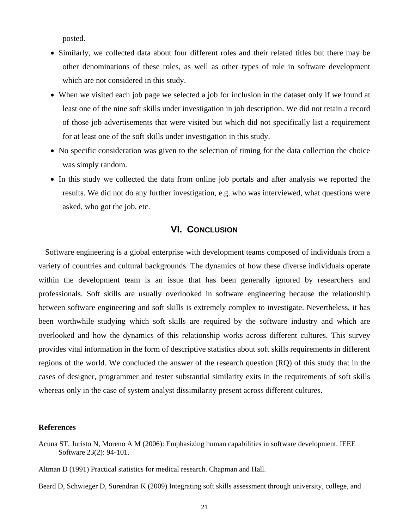posted.

- Similarly, we collected data about four different roles and their related titles but there may be other denominations of these roles, as well as other types of role in software development which are not considered in this study.
- When we visited each job page we selected a job for inclusion in the dataset only if we found at least one of the nine soft skills under investigation in job description. We did not retain a record of those job advertisements that were visited but which did not specifically list a requirement for at least one of the soft skills under investigation in this study.
- No specific consideration was given to the selection of timing for the data collection the choice was simply random.
- In this study we collected the data from online job portals and after analysis we reported the results. We did not do any further investigation, e.g. who was interviewed, what questions were asked, who got the job, etc.

# **VI. CONCLUSION**

Software engineering is a global enterprise with development teams composed of individuals from a variety of countries and cultural backgrounds. The dynamics of how these diverse individuals operate within the development team is an issue that has been generally ignored by researchers and professionals. Soft skills are usually overlooked in software engineering because the relationship between software engineering and soft skills is extremely complex to investigate. Nevertheless, it has been worthwhile studying which soft skills are required by the software industry and which are overlooked and how the dynamics of this relationship works across different cultures. This survey provides vital information in the form of descriptive statistics about soft skills requirements in different regions of the world. We concluded the answer of the research question (RQ) of this study that in the cases of designer, programmer and tester substantial similarity exits in the requirements of soft skills whereas only in the case of system analyst dissimilarity present across different cultures.

#### **References**

Beard D, Schwieger D, Surendran K (2009) Integrating soft skills assessment through university, college, and

Acuna ST, Juristo N, Moreno A M (2006): Emphasizing human capabilities in software development. IEEE Software 23(2): 94-101.

Altman D (1991) Practical statistics for medical research. Chapman and Hall.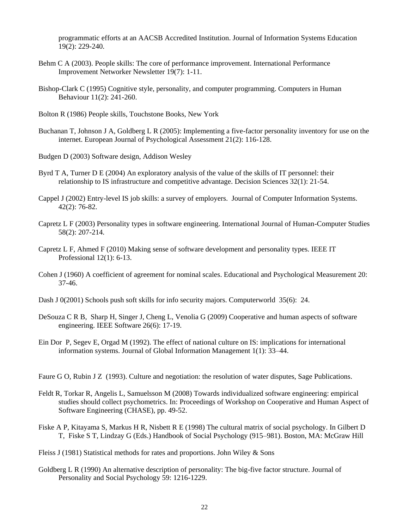programmatic efforts at an AACSB Accredited Institution. Journal of Information Systems Education 19(2): 229-240.

- Behm C A (2003). People skills: The core of performance improvement. International Performance Improvement Networker Newsletter 19(7): 1-11.
- Bishop-Clark C (1995) Cognitive style, personality, and computer programming. Computers in Human Behaviour 11(2): 241-260.

Bolton R (1986) People skills, Touchstone Books, New York

- Buchanan T, Johnson J A, Goldberg L R (2005): Implementing a five-factor personality inventory for use on the internet. European Journal of Psychological Assessment 21(2): 116-128.
- Budgen D (2003) Software design, Addison Wesley
- Byrd T A, Turner D E (2004) An exploratory analysis of the value of the skills of IT personnel: their relationship to IS infrastructure and competitive advantage. Decision Sciences 32(1): 21-54.
- Cappel J (2002) Entry-level IS job skills: a survey of employers. Journal of Computer Information Systems. 42(2): 76-82.
- Capretz L F (2003) Personality types in software engineering. International Journal of Human-Computer Studies 58(2): 207-214.
- Capretz L F, Ahmed F (2010) Making sense of software development and personality types. IEEE IT Professional 12(1): 6-13.
- Cohen J (1960) A coefficient of agreement for nominal scales. Educational and Psychological Measurement 20: 37-46.
- Dash J 0(2001) Schools push soft skills for info security majors. Computerworld 35(6): 24.
- DeSouza C R B, Sharp H, Singer J, Cheng L, Venolia G (2009) Cooperative and human aspects of software engineering. IEEE Software 26(6): 17-19.
- Ein Dor P, Segev E, Orgad M (1992). The effect of national culture on IS: implications for international information systems. Journal of Global Information Management 1(1): 33–44.

Faure G O, Rubin J Z (1993). Culture and negotiation: the resolution of water disputes, Sage Publications.

- Feldt R, Torkar R, Angelis L, Samuelsson M (2008) Towards individualized software engineering: empirical studies should collect psychometrics. In: Proceedings of Workshop on Cooperative and Human Aspect of Software Engineering (CHASE), pp. 49-52.
- Fiske A P, Kitayama S, Markus H R, Nisbett R E (1998) The cultural matrix of social psychology. In Gilbert D T, Fiske S T, Lindzay G (Eds.) Handbook of Social Psychology (915–981). Boston, MA: McGraw Hill
- Fleiss J (1981) Statistical methods for rates and proportions. John Wiley & Sons
- Goldberg L R (1990) An alternative description of personality: The big-five factor structure. Journal of Personality and Social Psychology 59: 1216-1229.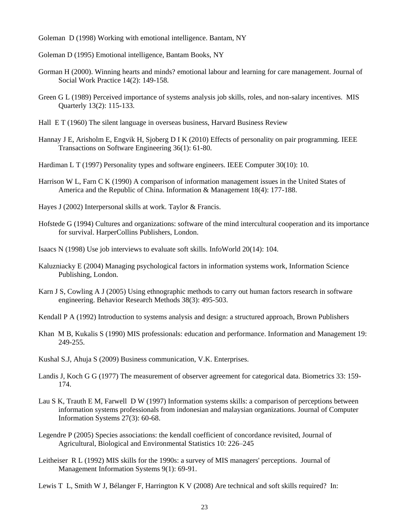Goleman D (1998) Working with emotional intelligence. Bantam, NY

Goleman D (1995) Emotional intelligence, Bantam Books, NY

- Gorman H (2000). Winning hearts and minds? emotional labour and learning for care management. Journal of Social Work Practice 14(2): 149-158.
- Green G L (1989) Perceived importance of systems analysis job skills, roles, and non-salary incentives. MIS Quarterly 13(2): 115-133.
- Hall E T (1960) The silent language in overseas business, Harvard Business Review
- Hannay J E, Arisholm E, Engvik H, Sjoberg D I K (2010) Effects of personality on pair programming. IEEE Transactions on Software Engineering 36(1): 61-80.
- Hardiman L T (1997) Personality types and software engineers. IEEE Computer 30(10): 10.
- Harrison W L, Farn C K (1990) A comparison of information management issues in the United States of America and the Republic of China. Information & Management 18(4): 177-188.
- Hayes J (2002) Interpersonal skills at work. Taylor & Francis.
- Hofstede G (1994) Cultures and organizations: software of the mind intercultural cooperation and its importance for survival. HarperCollins Publishers, London.
- Isaacs N (1998) Use job interviews to evaluate soft skills. InfoWorld 20(14): 104.
- Kaluzniacky E (2004) Managing psychological factors in information systems work, Information Science Publishing, London.
- Karn J S, Cowling A J (2005) Using ethnographic methods to carry out human factors research in software engineering. Behavior Research Methods 38(3): 495-503.
- Kendall P A (1992) Introduction to systems analysis and design: a structured approach, Brown Publishers
- Khan M B, Kukalis S (1990) MIS professionals: education and performance. Information and Management 19: 249-255.
- Kushal S.J, Ahuja S (2009) Business communication, V.K. Enterprises.
- Landis J, Koch G G (1977) The measurement of observer agreement for categorical data. Biometrics 33: 159- 174.
- Lau S K, Trauth E M, Farwell D W (1997) Information systems skills: a comparison of perceptions between information systems professionals from indonesian and malaysian organizations. Journal of Computer Information Systems 27(3): 60-68.
- Legendre P (2005) Species associations: the kendall coefficient of concordance revisited, Journal of Agricultural, Biological and Environmental Statistics 10: 226–245
- Leitheiser R L (1992) MIS skills for the 1990s: a survey of MIS managers' perceptions. Journal of Management Information Systems 9(1): 69-91.
- Lewis T L, Smith W J, Bélanger F, Harrington K V (2008) Are technical and soft skills required? In: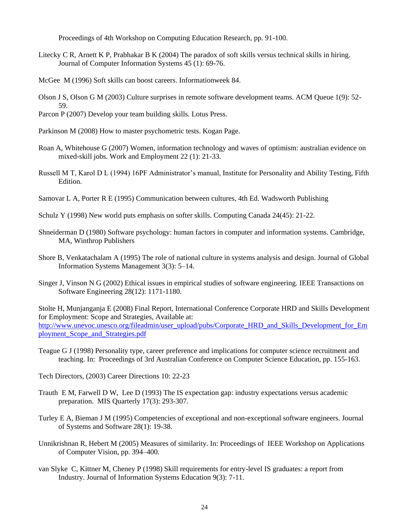Proceedings of 4th Workshop on Computing Education Research, pp. 91-100.

- Litecky C R, Arnett K P, Prabhakar B K (2004) The paradox of soft skills versus technical skills in hiring. Journal of Computer Information Systems 45 (1): 69-76.
- McGee M (1996) Soft skills can boost careers. Informationweek 84.
- Olson J S, Olson G M (2003) Culture surprises in remote software development teams. ACM Queue 1(9): 52- 59.
- Parcon P (2007) Develop your team building skills. Lotus Press.
- Parkinson M (2008) How to master psychometric tests. Kogan Page.
- Roan A, Whitehouse G (2007) Women, information technology and waves of optimism: australian evidence on mixed-skill jobs. Work and Employment 22 (1): 21-33.
- Russell M T, Karol D L (1994) 16PF Administrator's manual, Institute for Personality and Ability Testing, Fifth Edition.
- Samovar L A, Porter R E (1995) Communication between cultures, 4th Ed. Wadsworth Publishing
- Schulz Y (1998) New world puts emphasis on softer skills. Computing Canada 24(45): 21-22.
- Shneiderman D (1980) Software psychology: human factors in computer and information systems. Cambridge, MA, Winthrop Publishers
- Shore B, Venkatachalam A (1995) The role of national culture in systems analysis and design. Journal of Global Information Systems Management 3(3): 5–14.
- Singer J, Vinson N G (2002) Ethical issues in empirical studies of software engineering. IEEE Transactions on Software Engineering 28(12): 1171-1180.

Stolte H, Munjanganja E (2008) Final Report, International Conference Corporate HRD and Skills Development for Employment: Scope and Strategies, Available at: [http://www.unevoc.unesco.org/fileadmin/user\\_upload/pubs/Corporate\\_HRD\\_and\\_Skills\\_Development\\_for\\_Em](http://www.unevoc.unesco.org/fileadmin/user_upload/pubs/Corporate_HRD_and_Skills_Development_for_Employment_Scope_and_Strategies.pdf) [ployment\\_Scope\\_and\\_Strategies.pdf](http://www.unevoc.unesco.org/fileadmin/user_upload/pubs/Corporate_HRD_and_Skills_Development_for_Employment_Scope_and_Strategies.pdf)

- Teague G J (1998) Personality type, career preference and implications for computer science recruitment and teaching. In: Proceedings of 3rd Australian Conference on Computer Science Education, pp. 155-163.
- Tech Directors, (2003) Career Directions 10: 22-23
- Trauth E M, Farwell D W, Lee D (1993) The IS expectation gap: industry expectations versus academic preparation. MIS Quarterly 17(3): 293-307.
- Turley E A, Bieman J M (1995) Competencies of exceptional and non-exceptional software engineers. Journal of Systems and Software 28(1): 19-38.
- Unnikrishnan R, Hebert M (2005) Measures of similarity. In: Proceedings of IEEE Workshop on Applications of Computer Vision, pp. 394–400.
- van Slyke C, Kittner M, Cheney P (1998) Skill requirements for entry-level IS graduates: a report from Industry. Journal of Information Systems Education 9(3): 7-11.